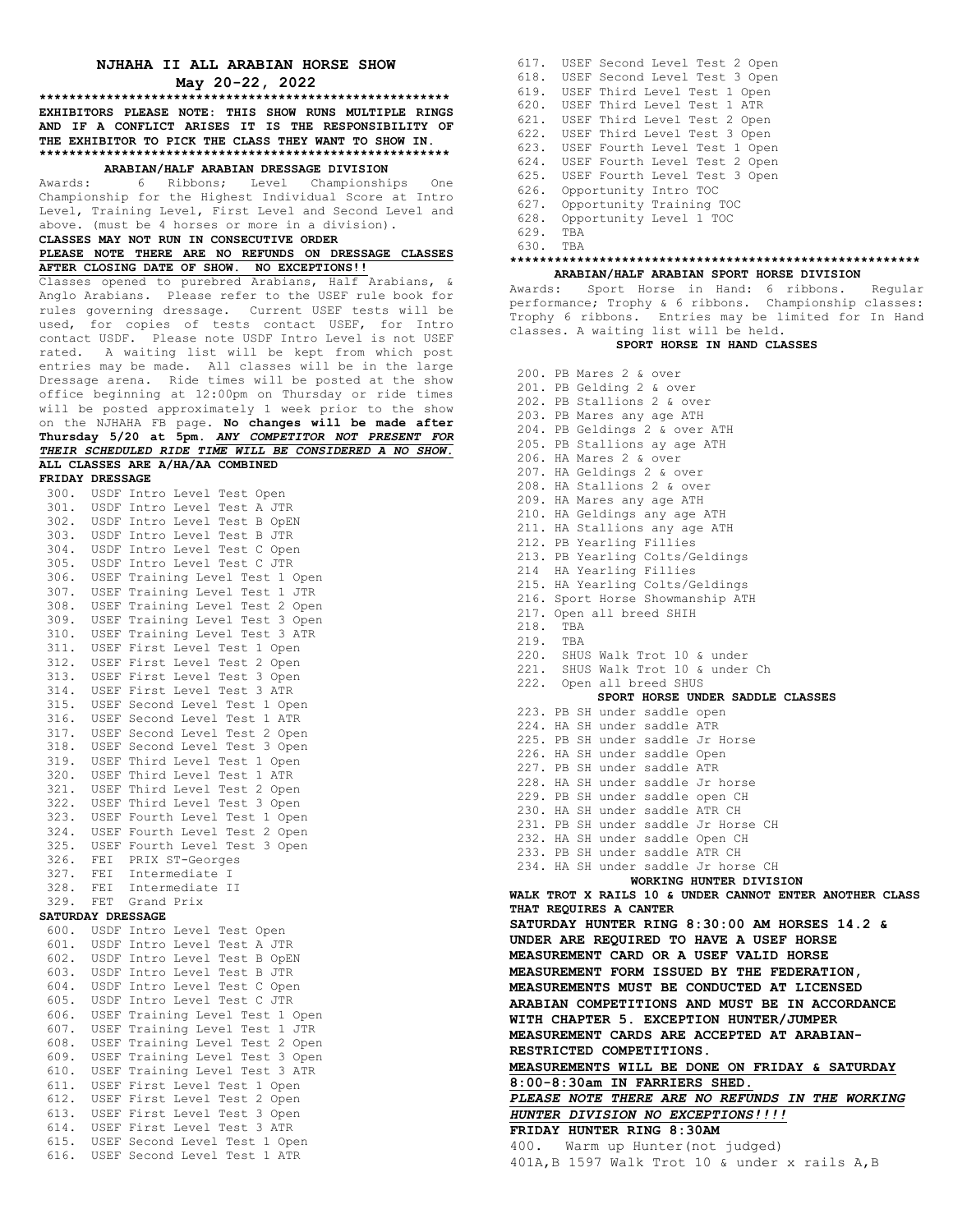## **NJHAHA II ALL ARABIAN HORSE SHOW May 20-22, 2022**

**\*\*\*\*\*\*\*\*\*\*\*\*\*\*\*\*\*\*\*\*\*\*\*\*\*\*\*\*\*\*\*\*\*\*\*\*\*\*\*\*\*\*\*\*\*\*\*\*\*\*\*\*\*\*\* EXHIBITORS PLEASE NOTE: THIS SHOW RUNS MULTIPLE RINGS AND IF A CONFLICT ARISES IT IS THE RESPONSIBILITY OF THE EXHIBITOR TO PICK THE CLASS THEY WANT TO SHOW IN. \*\*\*\*\*\*\*\*\*\*\*\*\*\*\*\*\*\*\*\*\*\*\*\*\*\*\*\*\*\*\*\*\*\*\*\*\*\*\*\*\*\*\*\*\*\*\*\*\*\*\*\*\*\*\***

# **ARABIAN/HALF ARABIAN DRESSAGE DIVISION**

Awards: 6 Ribbons; Level Championships One Championship for the Highest Individual Score at Intro Level, Training Level, First Level and Second Level and above. (must be 4 horses or more in a division). **CLASSES MAY NOT RUN IN CONSECUTIVE ORDER**

# **PLEASE NOTE THERE ARE NO REFUNDS ON DRESSAGE CLASSES**

Anglo Arabians. Please refer to the USEF rule book for rules governing dressage. Current USEF tests will be used, for copies of tests contact USEF, for Intro contact USDF. Please note USDF Intro Level is not USEF rated. A waiting list will be kept from which post entries may be made. All classes will be in the large Dressage arena. Ride times will be posted at the show office beginning at 12:00pm on Thursday or ride times will be posted approximately 1 week prior to the show on the NJHAHA FB page**. No changes will be made after Thursday 5/20 at 5pm.** *ANY COMPETITOR NOT PRESENT FOR THEIR SCHEDULED RIDE TIME WILL BE CONSIDERED A NO SHOW.*  **ALL CLASSES ARE A/HA/AA COMBINED**

**FRIDAY DRESSAGE** 300. USDF Intro Level Test Open 301. USDF Intro Level Test A JTR 302. USDF Intro Level Test B OpEN 303. USDF Intro Level Test B JTR 304. USDF Intro Level Test C Open 305. USDF Intro Level Test C JTR 311. USEF First Level Test 1 Open 312. USEF First Level Test 2 Open 313. USEF First Level Test 3 Open 314. USEF First Level Test 3 ATR 315. USEF Second Level Test 1 Open 316. USEF Second Level Test 1 ATR 317. USEF Second Level Test 2 Open 318. USEF Second Level Test 3 Open 319. USEF Third Level Test 1 Open 320. USEF Third Level Test 1 ATR 321. USEF Third Level Test 2 Open 322. USEF Third Level Test 3 Open 323. USEF Fourth Level Test 1 Open 324. USEF Fourth Level Test 2 Open 325. USEF Fourth Level Test 3 Open 326. FEI PRIX ST-Georges 327. FEI Intermediate I 328. FEI Intermediate II 329. FET Grand Prix **SATURDAY DRESSAGE** 600. USDF Intro Level Test Open 601. USDF Intro Level Test A JTR 602. USDF Intro Level Test B OpEN 603. USDF Intro Level Test B JTR 604. USDF Intro Level Test C Open 605. USDF Intro Level Test C JTR 611. USEF First Level Test 1 Open

**AFTER CLOSING DATE OF SHOW. NO EXCEPTIONS!!** Classes opened to purebred Arabians, Half Arabians, &

| 300. |     | USDF Intro Level Test Open           |
|------|-----|--------------------------------------|
|      |     | 301. USDF Intro Level Test A JTR     |
|      |     | 302. USDF Intro Level Test B OpEN    |
|      |     | 303. USDF Intro Level Test B JTR     |
|      |     | 304. USDF Intro Level Test C Open    |
|      |     | 305. USDF Intro Level Test C JTR     |
|      |     | 306. USEF Training Level Test 1 Open |
|      |     | 307. USEF Training Level Test 1 JTR  |
|      |     | 308. USEF Training Level Test 2 Open |
|      |     | 309. USEF Training Level Test 3 Open |
|      |     | 310. USEF Training Level Test 3 ATR  |
|      |     | 311. USEF First Level Test 1 Open    |
|      |     | 312. USEF First Level Test 2 Open    |
|      |     | 313. USEF First Level Test 3 Open    |
|      |     | 314. USEF First Level Test 3 ATR     |
|      |     | 315. USEF Second Level Test 1 Open   |
|      |     | 316. USEF Second Level Test 1 ATR    |
|      |     | 317. USEF Second Level Test 2 Open   |
|      |     | 318. USEF Second Level Test 3 Open   |
|      |     | 319. USEF Third Level Test 1 Open    |
|      |     | 320. USEF Third Level Test 1 ATR     |
|      |     | 321. USEF Third Level Test 2 Open    |
|      |     | 322. USEF Third Level Test 3 Open    |
|      |     | 323. USEF Fourth Level Test 1 Open   |
|      |     | 324. USEF Fourth Level Test 2 Open   |
|      |     | 325. USEF Fourth Level Test 3 Open   |
|      |     | 326. FEI PRIX ST-Georges             |
|      |     | 327. FEI Intermediate I              |
|      |     | 328. FEI Intermediate II             |
| 329. | FET | Grand Prix                           |

| 0 U L | APPL TULLO TEAST JEST WATER         |
|-------|-------------------------------------|
| 602.  | USDF Intro Level Test B OpEN        |
| 603.  | USDF Intro Level Test B JTR         |
|       | 604. USDF Intro Level Test C Open   |
|       | 605. USDF Intro Level Test C JTR    |
| 606.  | USEF Training Level Test 1 Open     |
|       | 607. USEF Training Level Test 1 JTR |
| 608.  | USEF Training Level Test 2 Open     |
| 609.  | USEF Training Level Test 3 Open     |
|       | 610. USEF Training Level Test 3 ATR |
| 611.  | USEF First Level Test 1 Open        |
| 612.  | USEF First Level Test 2 Open        |
|       | 613. USEF First Level Test 3 Open   |
|       | 614. USEF First Level Test 3 ATR    |
|       | 615. USEF Second Level Test 1 Open  |
|       | 616. USEF Second Level Test 1 ATR   |
|       |                                     |

617. USEF Second Level Test 2 Open 618. USEF Second Level Test 3 Open 619. USEF Third Level Test 1 Open 620. USEF Third Level Test 1 ATR 621. USEF Third Level Test 2 Open 622. USEF Third Level Test 3 Open 623. USEF Fourth Level Test 1 Open 624. USEF Fourth Level Test 2 Open 625. USEF Fourth Level Test 3 Open 626. Opportunity Intro TOC 627. Opportunity Training TOC 628. Opportunity Level 1 TOC 629. TBA 630. TBA

### **\*\*\*\*\*\*\*\*\*\*\*\*\*\*\*\*\*\*\*\*\*\*\*\*\*\*\*\*\*\*\*\*\*\*\*\*\*\*\*\*\*\*\*\*\*\*\*\*\*\*\*\*\*\*\* ARABIAN/HALF ARABIAN SPORT HORSE DIVISION**

Awards: Sport Horse in Hand: 6 ribbons. Regular performance; Trophy & 6 ribbons. Championship classes: Trophy 6 ribbons. Entries may be limited for In Hand classes. A waiting list will be held.

## **SPORT HORSE IN HAND CLASSES**

200. PB Mares 2 & over 201. PB Gelding 2 & over 202. PB Stallions 2 & over 203. PB Mares any age ATH 204. PB Geldings 2 & over ATH 205. PB Stallions ay age ATH 206. HA Mares 2 & over 207. HA Geldings 2 & over 208. HA Stallions 2 & over 209. HA Mares any age ATH 210. HA Geldings any age ATH 211. HA Stallions any age ATH 212. PB Yearling Fillies 213. PB Yearling Colts/Geldings 214 HA Yearling Fillies 215. HA Yearling Colts/Geldings 216. Sport Horse Showmanship ATH 217. Open all breed SHIH 218. TBA 219. TBA 220. SHUS Walk Trot 10 & under 221. SHUS Walk Trot 10 & under Ch 222. Open all breed SHUS **SPORT HORSE UNDER SADDLE CLASSES** 223. PB SH under saddle open 224. HA SH under saddle ATR 225. PB SH under saddle Jr Horse 226. HA SH under saddle Open 227. PB SH under saddle ATR 228. HA SH under saddle Jr horse 229. PB SH under saddle open CH 230. HA SH under saddle ATR CH 231. PB SH under saddle Jr Horse CH 232. HA SH under saddle Open CH 233. PB SH under saddle ATR CH 234. HA SH under saddle Jr horse CH **WORKING HUNTER DIVISION WALK TROT X RAILS 10 & UNDER CANNOT ENTER ANOTHER CLASS THAT REQUIRES A CANTER SATURDAY HUNTER RING 8:30:00 AM HORSES 14.2 & UNDER ARE REQUIRED TO HAVE A USEF HORSE MEASUREMENT CARD OR A USEF VALID HORSE MEASUREMENT FORM ISSUED BY THE FEDERATION, MEASUREMENTS MUST BE CONDUCTED AT LICENSED ARABIAN COMPETITIONS AND MUST BE IN ACCORDANCE WITH CHAPTER 5. EXCEPTION HUNTER/JUMPER MEASUREMENT CARDS ARE ACCEPTED AT ARABIAN-RESTRICTED COMPETITIONS. MEASUREMENTS WILL BE DONE ON FRIDAY & SATURDAY 8:00-8:30am IN FARRIERS SHED.** PLEASE NOTE THERE ARE NO REFUNDS IN THE WORKING *HUNTER DIVISION NO EXCEPTIONS!!!!* **FRIDAY HUNTER RING 8:30AM** 400. Warm up Hunter(not judged) 401A,B 1597 Walk Trot 10 & under x rails A,B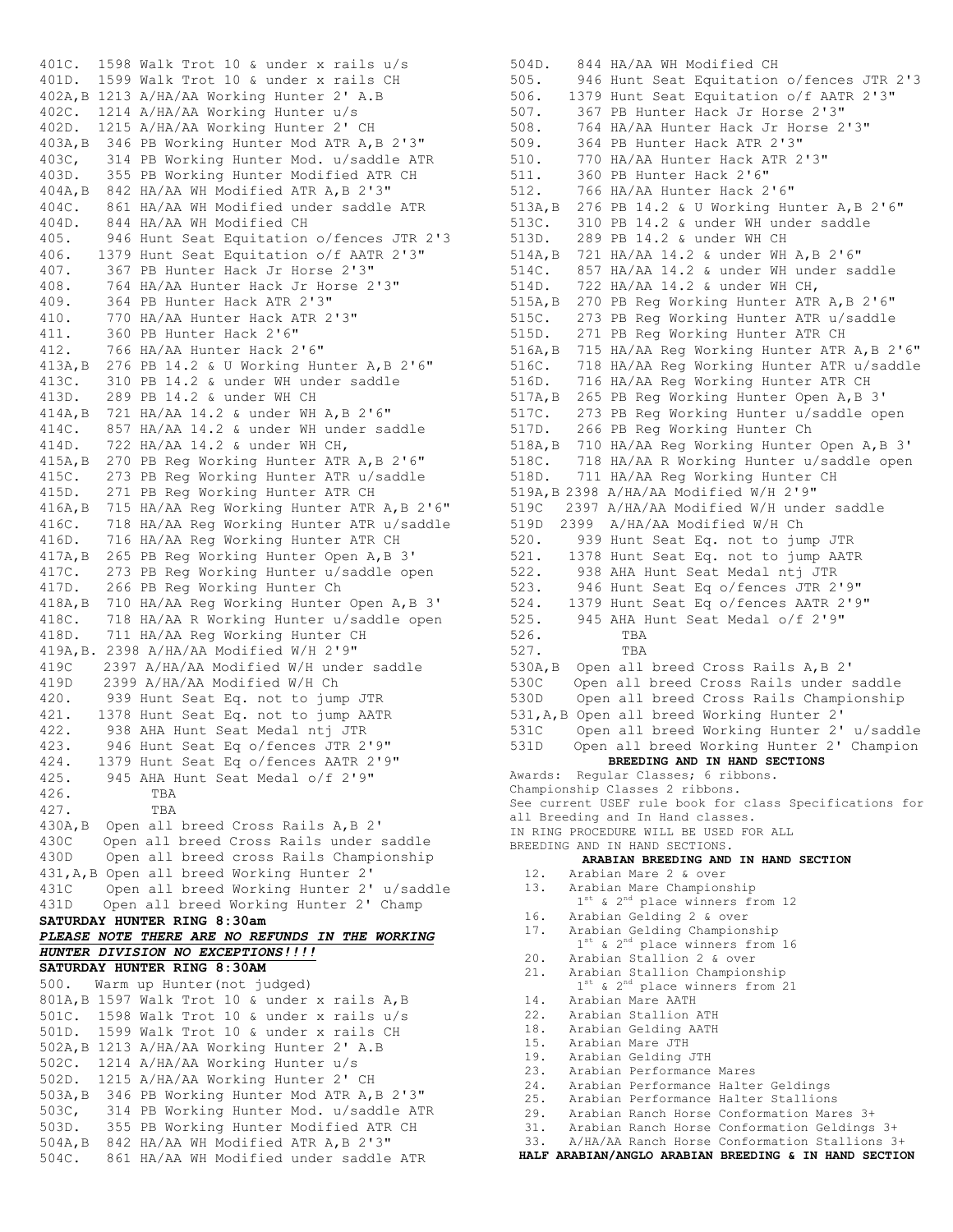401C. 1598 Walk Trot 10 & under x rails u/s 401D. 1599 Walk Trot 10 & under x rails CH 402A,B 1213 A/HA/AA Working Hunter 2' A.B 402C. 1214 A/HA/AA Working Hunter u/s 402D. 1215 A/HA/AA Working Hunter 2' CH 403A,B 346 PB Working Hunter Mod ATR A,B 2'3" 403C, 314 PB Working Hunter Mod. u/saddle ATR 403D. 355 PB Working Hunter Modified ATR CH 404A,B 842 HA/AA WH Modified ATR A,B 2'3" 404C. 861 HA/AA WH Modified under saddle ATR 404D. 844 HA/AA WH Modified CH 405. 946 Hunt Seat Equitation o/fences JTR 2'3 406. 1379 Hunt Seat Equitation o/f AATR 2'3" 407. 367 PB Hunter Hack Jr Horse 2'3" 408. 764 HA/AA Hunter Hack Jr Horse 2'3" 409. 364 PB Hunter Hack ATR 2'3" 410. 770 HA/AA Hunter Hack ATR 2'3" 411. 360 PB Hunter Hack 2'6" 412. 766 HA/AA Hunter Hack 2'6" 413A,B 276 PB 14.2 & U Working Hunter A,B 2'6" 413C. 310 PB 14.2 & under WH under saddle 413D. 289 PB 14.2 & under WH CH 414A,B 721 HA/AA 14.2 & under WH A,B 2'6" 414C. 857 HA/AA 14.2 & under WH under saddle 414D. 722 HA/AA 14.2 & under WH CH, 415A,B 270 PB Reg Working Hunter ATR A,B 2'6" 415C. 273 PB Reg Working Hunter ATR u/saddle 415D. 271 PB Reg Working Hunter ATR CH 416A,B 715 HA/AA Reg Working Hunter ATR A,B 2'6" 416C. 718 HA/AA Reg Working Hunter ATR u/saddle 416D. 716 HA/AA Reg Working Hunter ATR CH 417A,B 265 PB Reg Working Hunter Open A,B 3' 417C. 273 PB Reg Working Hunter u/saddle open 417D. 266 PB Reg Working Hunter Ch 418A,B 710 HA/AA Reg Working Hunter Open A,B 3' 418C. 718 HA/AA R Working Hunter u/saddle open 418D. 711 HA/AA Reg Working Hunter CH 419A,B. 2398 A/HA/AA Modified W/H 2'9" 419C 2397 A/HA/AA Modified W/H under saddle 419D 2399 A/HA/AA Modified W/H Ch 420. 939 Hunt Seat Eq. not to jump JTR 421. 1378 Hunt Seat Eq. not to jump AATR 422. 938 AHA Hunt Seat Medal ntj JTR 423. 946 Hunt Seat Eq o/fences JTR 2'9" 424. 1379 Hunt Seat Eq o/fences AATR 2'9" 425. 945 AHA Hunt Seat Medal o/f 2'9" 426. TBA 427. TBA 430A,B Open all breed Cross Rails A,B 2' 430C Open all breed Cross Rails under saddle 430D Open all breed cross Rails Championship 431,A,B Open all breed Working Hunter 2' 431C Open all breed Working Hunter 2' u/saddle 431D Open all breed Working Hunter 2' Champ **SATURDAY HUNTER RING 8:30am** *PLEASE NOTE THERE ARE NO REFUNDS IN THE WORKING HUNTER DIVISION NO EXCEPTIONS!!!!* **SATURDAY HUNTER RING 8:30AM** 500. Warm up Hunter(not judged) 801A,B 1597 Walk Trot 10 & under x rails A,B 501C. 1598 Walk Trot 10 & under x rails u/s 501D. 1599 Walk Trot 10 & under x rails CH 502A,B 1213 A/HA/AA Working Hunter 2' A.B 502C. 1214 A/HA/AA Working Hunter u/s 502D. 1215 A/HA/AA Working Hunter 2' CH 503A,B 346 PB Working Hunter Mod ATR A,B 2'3" 503C, 314 PB Working Hunter Mod. u/saddle ATR 503D. 355 PB Working Hunter Modified ATR CH 504A,B 842 HA/AA WH Modified ATR A,B 2'3" 504C. 861 HA/AA WH Modified under saddle ATR

504D. 844 HA/AA WH Modified CH 505. 946 Hunt Seat Equitation o/fences JTR 2'3 506. 1379 Hunt Seat Equitation o/f AATR 2'3" 507. 367 PB Hunter Hack Jr Horse 2'3" 508. 764 HA/AA Hunter Hack Jr Horse 2'3" 509. 364 PB Hunter Hack ATR 2'3" 510. 770 HA/AA Hunter Hack ATR 2'3" 511. 360 PB Hunter Hack 2'6" 512. 766 HA/AA Hunter Hack 2'6" 513A,B 276 PB 14.2 & U Working Hunter A,B 2'6" 513C. 310 PB 14.2 & under WH under saddle 513D. 289 PB 14.2 & under WH CH 514A,B 721 HA/AA 14.2 & under WH A,B 2'6" 514C. 857 HA/AA 14.2 & under WH under saddle 514D. 722 HA/AA 14.2 & under WH CH, 515A,B 270 PB Reg Working Hunter ATR A,B 2'6" 515C. 273 PB Reg Working Hunter ATR u/saddle 515D. 271 PB Reg Working Hunter ATR CH 516A,B 715 HA/AA Reg Working Hunter ATR A,B 2'6" 516C. 718 HA/AA Reg Working Hunter ATR u/saddle 516D. 716 HA/AA Reg Working Hunter ATR CH 517A,B 265 PB Reg Working Hunter Open A,B 3' 517C. 273 PB Reg Working Hunter u/saddle open 517D. 266 PB Reg Working Hunter Ch 518A,B 710 HA/AA Reg Working Hunter Open A,B 3' 518C. 718 HA/AA R Working Hunter u/saddle open 518D. 711 HA/AA Reg Working Hunter CH 519A,B 2398 A/HA/AA Modified W/H 2'9" 519C 2397 A/HA/AA Modified W/H under saddle 519D 2399 A/HA/AA Modified W/H Ch 520. 939 Hunt Seat Eq. not to jump JTR 521. 1378 Hunt Seat Eq. not to jump AATR 522. 938 AHA Hunt Seat Medal ntj JTR 523. 946 Hunt Seat Eq o/fences JTR 2'9" 524. 1379 Hunt Seat Eq o/fences AATR 2'9" 525. 945 AHA Hunt Seat Medal o/f 2'9" 526. TBA 527. TBA 530A,B Open all breed Cross Rails A,B 2' 530C Open all breed Cross Rails under saddle 530D Open all breed Cross Rails Championship 531,A,B Open all breed Working Hunter 2' 531C Open all breed Working Hunter 2' u/saddle 531D Open all breed Working Hunter 2' Champion **BREEDING AND IN HAND SECTIONS** Awards: Regular Classes; 6 ribbons. Championship Classes 2 ribbons. See current USEF rule book for class Specifications for all Breeding and In Hand classes. IN RING PROCEDURE WILL BE USED FOR ALL BREEDING AND IN HAND SECTIONS. **ARABIAN BREEDING AND IN HAND SECTION** 12. Arabian Mare 2 & over 13. Arabian Mare Championship<br>1<sup>st</sup> & 2<sup>nd</sup> place winners from 12 16. Arabian Gelding 2 & over 17. Arabian Gelding Championship<br>1<sup>st</sup> & 2<sup>nd</sup> place winners from 16 20. Arabian Stallion 2 & over 21. Arabian Stallion Championship<br> $1^{st}$  & 2<sup>nd</sup> place winners from 21 14. Arabian Mare AATH 22. Arabian Stallion ATH 18. Arabian Gelding AATH 15. Arabian Mare JTH 19. Arabian Gelding JTH 23. Arabian Performance Mares 24. Arabian Performance Halter Geldings 25. Arabian Performance Halter Stallions 29. Arabian Ranch Horse Conformation Mares 3+ 31. Arabian Ranch Horse Conformation Geldings 3+ 33. A/HA/AA Ranch Horse Conformation Stallions 3+ **HALF ARABIAN/ANGLO ARABIAN BREEDING & IN HAND SECTION**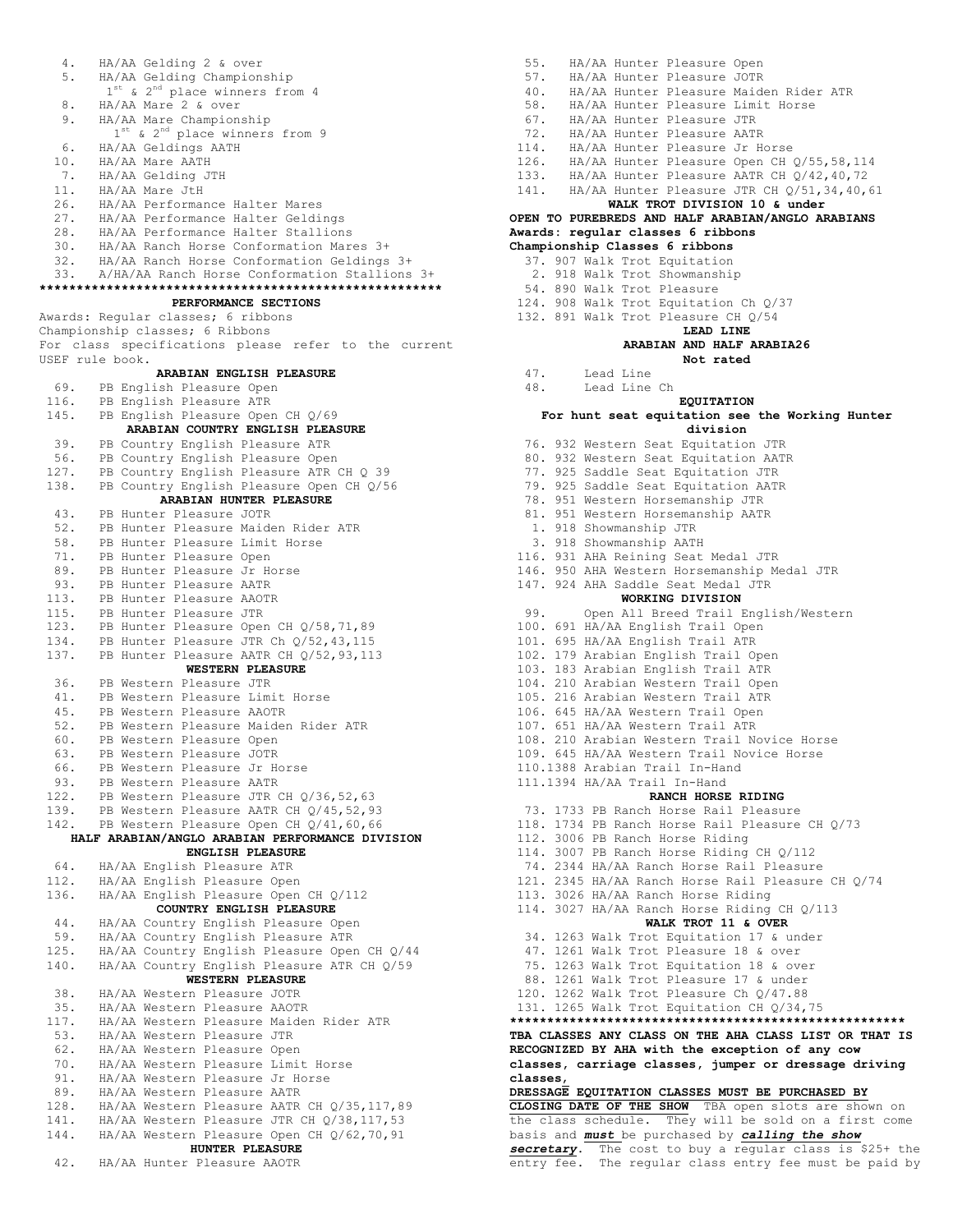4. HA/AA Gelding 2 & over 5. HA/AA Gelding Championship<br>1<sup>st</sup> & 2<sup>nd</sup> place winners from 4 8. HA/AA Mare 2 & over 9. HA/AA Mare Championship  $HA/AA$  Mare 2 & over<br>  $HA/AA$  Mare Championship<br>  $1^{st}$  &  $2^{nd}$  place winners from 9 6. HA/AA Geldings AATH 10. HA/AA Mare AATH 7. HA/AA Gelding JTH 11. HA/AA Mare JtH 26. HA/AA Performance Halter Mares 27. HA/AA Performance Halter Geldings 28. HA/AA Performance Halter Stallions 30. HA/AA Ranch Horse Conformation Mares 3+ 32. HA/AA Ranch Horse Conformation Geldings 3+ 33. A/HA/AA Ranch Horse Conformation Stallions 3+ **\*\*\*\*\*\*\*\*\*\*\*\*\*\*\*\*\*\*\*\*\*\*\*\*\*\*\*\*\*\*\*\*\*\*\*\*\*\*\*\*\*\*\*\*\*\*\*\*\*\*\*\*\*\* PERFORMANCE SECTIONS** Awards: Regular classes; 6 ribbons Championship classes; 6 Ribbons For class specifications please refer to the current USEF rule book. **ARABIAN ENGLISH PLEASURE** 69. PB English Pleasure Open 116. PB English Pleasure ATR 145. PB English Pleasure Open CH Q/69 **ARABIAN COUNTRY ENGLISH PLEASURE** 39. PB Country English Pleasure ATR 56. PB Country English Pleasure Open 127. PB Country English Pleasure ATR CH Q 39 138. PB Country English Pleasure Open CH Q/56 **ARABIAN HUNTER PLEASURE** 43. PB Hunter Pleasure JOTR 52. PB Hunter Pleasure Maiden Rider ATR 58. PB Hunter Pleasure Limit Horse 71. PB Hunter Pleasure Open 89. PB Hunter Pleasure Jr Horse 93. PB Hunter Pleasure AATR<br>113. PB Hunter Pleasure AATR<br>115. PB Hunter Pleasure JTR 113. PB Hunter Pleasure AAOTR 115. PB Hunter Pleasure JTR 123. PB Hunter Pleasure Open CH Q/58,71,89 134. PB Hunter Pleasure JTR Ch Q/52,43,115 137. PB Hunter Pleasure AATR CH Q/52,93,113 **WESTERN PLEASURE** 36. PB Western Pleasure JTR 41. PB Western Pleasure Limit Horse 45. PB Western Pleasure AAOTR 52. PB Western Pleasure Maiden Rider ATR 60. PB Western Pleasure Open 63. PB Western Pleasure JOTR 66. PB Western Pleasure Jr Horse 93. PB Western Pleasure AATR 122. PB Western Pleasure JTR CH Q/36,52,63 139. PB Western Pleasure AATR CH Q/45,52,93 142. PB Western Pleasure Open CH Q/41,60,66 **HALF ARABIAN/ANGLO ARABIAN PERFORMANCE DIVISION ENGLISH PLEASURE** 64. HA/AA English Pleasure ATR 112. HA/AA English Pleasure Open 136. HA/AA English Pleasure Open CH Q/112 **COUNTRY ENGLISH PLEASURE**  44. HA/AA Country English Pleasure Open 59. HA/AA Country English Pleasure ATR 125. HA/AA Country English Pleasure Open CH Q/44 140. HA/AA Country English Pleasure ATR CH Q/59 **WESTERN PLEASURE** 38. HA/AA Western Pleasure JOTR 35. HA/AA Western Pleasure AAOTR 117. HA/AA Western Pleasure Maiden Rider ATR 53. HA/AA Western Pleasure JTR 62. HA/AA Western Pleasure Open 70. HA/AA Western Pleasure Limit Horse 91. HA/AA Western Pleasure Jr Horse 89. HA/AA Western Pleasure AATR 128. HA/AA Western Pleasure AATR CH Q/35,117,89 141. HA/AA Western Pleasure JTR CH Q/38,117,53 144. HA/AA Western Pleasure Open CH Q/62,70,91 **HUNTER PLEASURE** 42. HA/AA Hunter Pleasure AAOTR

55. HA/AA Hunter Pleasure Open 57. HA/AA Hunter Pleasure JOTR 40. HA/AA Hunter Pleasure Maiden Rider ATR 58. HA/AA Hunter Pleasure Limit Horse 67. HA/AA Hunter Pleasure JTR 72. HA/AA Hunter Pleasure AATR 114. HA/AA Hunter Pleasure Jr Horse 126. HA/AA Hunter Pleasure Open CH Q/55,58,114 133. HA/AA Hunter Pleasure AATR CH Q/42,40,72 141. HA/AA Hunter Pleasure JTR CH Q/51,34,40,61 **WALK TROT DIVISION 10 & under OPEN TO PUREBREDS AND HALF ARABIAN/ANGLO ARABIANS Awards: regular classes 6 ribbons Championship Classes 6 ribbons** 37. 907 Walk Trot Equitation 2. 918 Walk Trot Showmanship 54. 890 Walk Trot Pleasure 124. 908 Walk Trot Equitation Ch Q/37 132. 891 Walk Trot Pleasure CH Q/54 **LEAD LINE ARABIAN AND HALF ARABIA26 Not rated** 47. Lead Line 48. Lead Line Ch **EQUITATION For hunt seat equitation see the Working Hunter division** 76. 932 Western Seat Equitation JTR 80. 932 Western Seat Equitation AATR 77. 925 Saddle Seat Equitation JTR 79. 925 Saddle Seat Equitation AATR 78. 951 Western Horsemanship JTR 81. 951 Western Horsemanship AATR 1. 918 Showmanship JTR 3. 918 Showmanship AATH 116. 931 AHA Reining Seat Medal JTR 146. 950 AHA Western Horsemanship Medal JTR 147. 924 AHA Saddle Seat Medal JTR **WORKING DIVISION** 99. Open All Breed Trail English/Western 100. 691 HA/AA English Trail Open 101. 695 HA/AA English Trail ATR 102. 179 Arabian English Trail Open 103. 183 Arabian English Trail ATR 104. 210 Arabian Western Trail Open 105. 216 Arabian Western Trail ATR 106. 645 HA/AA Western Trail Open 107. 651 HA/AA Western Trail ATR 108. 210 Arabian Western Trail Novice Horse<br>109. 645 HA/AA Western Trail Novice Horse 109. 645 HA/AA Western Trail Novice Horse 110.1388 Arabian Trail In-Hand 111.1394 HA/AA Trail In-Hand **RANCH HORSE RIDING** 73. 1733 PB Ranch Horse Rail Pleasure 118. 1734 PB Ranch Horse Rail Pleasure CH Q/73 112. 3006 PB Ranch Horse Riding 114. 3007 PB Ranch Horse Riding CH Q/112 74. 2344 HA/AA Ranch Horse Rail Pleasure 121. 2345 HA/AA Ranch Horse Rail Pleasure CH Q/74 113. 3026 HA/AA Ranch Horse Riding 114. 3027 HA/AA Ranch Horse Riding CH Q/113 **WALK TROT 11 & OVER** 34. 1263 Walk Trot Equitation 17 & under 47. 1261 Walk Trot Pleasure 18 & over 75. 1263 Walk Trot Equitation 18 & over 88. 1261 Walk Trot Pleasure 17 & under 120. 1262 Walk Trot Pleasure Ch Q/47.88 131. 1265 Walk Trot Equitation CH Q/34,75 **\*\*\*\*\*\*\*\*\*\*\*\*\*\*\*\*\*\*\*\*\*\*\*\*\*\*\*\*\*\*\*\*\*\*\*\*\*\*\*\*\*\*\*\*\*\*\*\*\*\*\*\*\* TBA CLASSES ANY CLASS ON THE AHA CLASS LIST OR THAT IS RECOGNIZED BY AHA with the exception of any cow classes, carriage classes, jumper or dressage driving classes**, **DRESSAGE EQUITATION CLASSES MUST BE PURCHASED BY CLOSING DATE OF THE SHOW** TBA open slots are shown on the class schedule. They will be sold on a first come basis and *must* be purchased by *calling the show secretary*. The cost to buy a regular class is \$25+ the entry fee. The regular class entry fee must be paid by